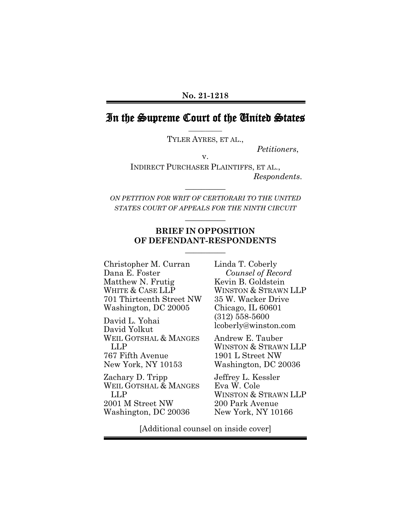## In the Supreme Court of the United States **\_\_\_\_\_\_\_\_\_\_**

TYLER AYRES, ET AL.,

*Petitioners*, v.

INDIRECT PURCHASER PLAINTIFFS, ET AL., *Respondents*.

*ON PETITION FOR WRIT OF CERTIORARI TO THE UNITED STATES COURT OF APPEALS FOR THE NINTH CIRCUIT*

**\_\_\_\_\_\_\_\_\_\_** 

**\_\_\_\_\_\_\_\_\_\_** 

### **BRIEF IN OPPOSITION OF DEFENDANT-RESPONDENTS**

**\_\_\_\_\_\_\_\_\_\_** 

Christopher M. Curran Dana E. Foster Matthew N. Frutig WHITE & CASE LLP 701 Thirteenth Street NW Washington, DC 20005

David L. Yohai David Yolkut WEIL GOTSHAL & MANGES LLP 767 Fifth Avenue New York, NY 10153

Zachary D. Tripp WEIL GOTSHAL & MANGES LLP 2001 M Street NW Washington, DC 20036

Linda T. Coberly *Counsel of Record* Kevin B. Goldstein WINSTON & STRAWN LLP 35 W. Wacker Drive Chicago, IL 60601 (312) 558-5600 [lcoberly@winston.com](mailto:lcoberly@winston.com)

Andrew E. Tauber WINSTON & STRAWN LLP 1901 L Street NW Washington, DC 20036

Jeffrey L. Kessler Eva W. Cole WINSTON & STRAWN LLP 200 Park Avenue New York, NY 10166

[Additional counsel on inside cover]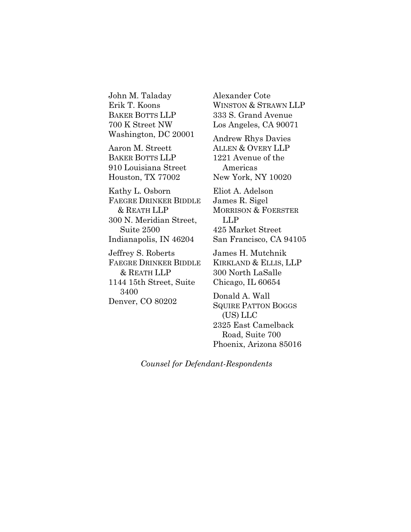John M. Taladay Erik T. Koons BAKER BOTTS LLP 700 K Street NW Washington, DC 20001

Aaron M. Streett BAKER BOTTS LLP 910 Louisiana Street Houston, TX 77002

Kathy L. Osborn FAEGRE DRINKER BIDDLE & REATH LLP 300 N. Meridian Street, Suite 2500 Indianapolis, IN 46204

Jeffrey S. Roberts FAEGRE DRINKER BIDDLE & REATH LLP 1144 15th Street, Suite 3400 Denver, CO 80202

Alexander Cote WINSTON & STRAWN LLP 333 S. Grand Avenue Los Angeles, CA 90071

Andrew Rhys Davies ALLEN & OVERY LLP 1221 Avenue of the Americas New York, NY 10020

Eliot A. Adelson James R. Sigel MORRISON & FOERSTER LLP 425 Market Street San Francisco, CA 94105

James H. Mutchnik KIRKLAND & ELLIS, LLP 300 North LaSalle Chicago, IL 60654

Donald A. Wall SQUIRE PATTON BOGGS (US) LLC 2325 East Camelback Road, Suite 700 Phoenix, Arizona 85016

*Counsel for Defendant-Respondents*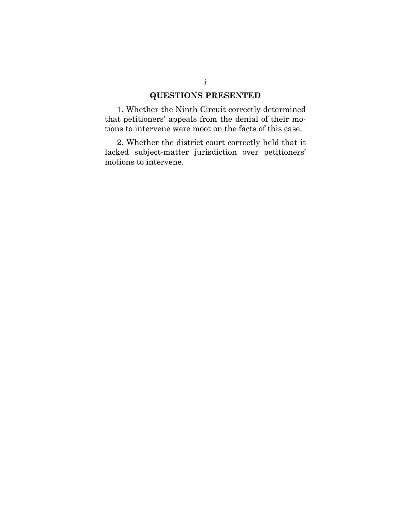## **QUESTIONS PRESENTED**

1. Whether the Ninth Circuit correctly determined that petitioners' appeals from the denial of their motions to intervene were moot on the facts of this case.

2. Whether the district court correctly held that it lacked subject-matter jurisdiction over petitioners' motions to intervene.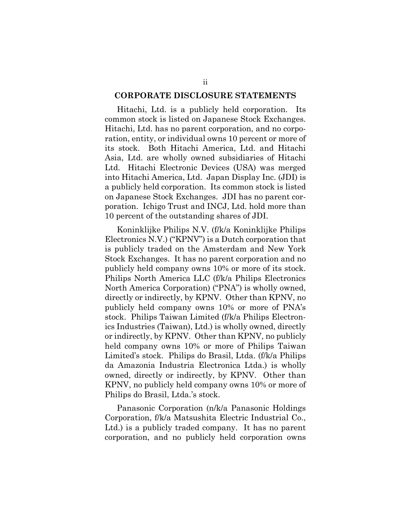#### **CORPORATE DISCLOSURE STATEMENTS**

Hitachi, Ltd. is a publicly held corporation. Its common stock is listed on Japanese Stock Exchanges. Hitachi, Ltd. has no parent corporation, and no corporation, entity, or individual owns 10 percent or more of its stock. Both Hitachi America, Ltd. and Hitachi Asia, Ltd. are wholly owned subsidiaries of Hitachi Ltd. Hitachi Electronic Devices (USA) was merged into Hitachi America, Ltd. Japan Display Inc. (JDI) is a publicly held corporation. Its common stock is listed on Japanese Stock Exchanges. JDI has no parent corporation. Ichigo Trust and INCJ, Ltd. hold more than 10 percent of the outstanding shares of JDI.

Koninklijke Philips N.V. (f/k/a Koninklijke Philips Electronics N.V.) ("KPNV") is a Dutch corporation that is publicly traded on the Amsterdam and New York Stock Exchanges. It has no parent corporation and no publicly held company owns 10% or more of its stock. Philips North America LLC (f/k/a Philips Electronics North America Corporation) ("PNA") is wholly owned, directly or indirectly, by KPNV. Other than KPNV, no publicly held company owns 10% or more of PNA's stock. Philips Taiwan Limited (f/k/a Philips Electronics Industries (Taiwan), Ltd.) is wholly owned, directly or indirectly, by KPNV. Other than KPNV, no publicly held company owns 10% or more of Philips Taiwan Limited's stock. Philips do Brasil, Ltda. (f/k/a Philips da Amazonia Industria Electronica Ltda.) is wholly owned, directly or indirectly, by KPNV. Other than KPNV, no publicly held company owns 10% or more of Philips do Brasil, Ltda.'s stock.

Panasonic Corporation (n/k/a Panasonic Holdings Corporation, f/k/a Matsushita Electric Industrial Co., Ltd.) is a publicly traded company. It has no parent corporation, and no publicly held corporation owns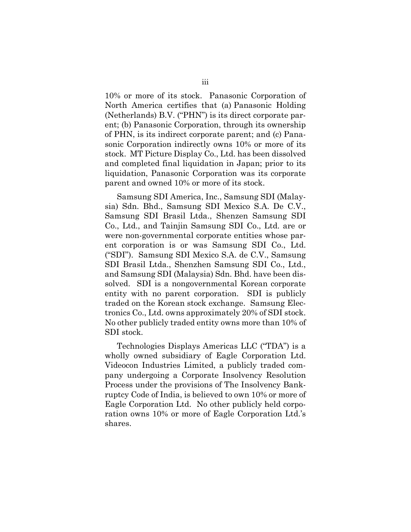10% or more of its stock. Panasonic Corporation of North America certifies that (a) Panasonic Holding (Netherlands) B.V. ("PHN") is its direct corporate parent; (b) Panasonic Corporation, through its ownership of PHN, is its indirect corporate parent; and (c) Panasonic Corporation indirectly owns 10% or more of its stock. MT Picture Display Co., Ltd. has been dissolved and completed final liquidation in Japan; prior to its liquidation, Panasonic Corporation was its corporate parent and owned 10% or more of its stock.

Samsung SDI America, Inc., Samsung SDI (Malaysia) Sdn. Bhd., Samsung SDI Mexico S.A. De C.V., Samsung SDI Brasil Ltda., Shenzen Samsung SDI Co., Ltd., and Tainjin Samsung SDI Co., Ltd. are or were non-governmental corporate entities whose parent corporation is or was Samsung SDI Co., Ltd. ("SDI"). Samsung SDI Mexico S.A. de C.V., Samsung SDI Brasil Ltda., Shenzhen Samsung SDI Co., Ltd., and Samsung SDI (Malaysia) Sdn. Bhd. have been dissolved. SDI is a nongovernmental Korean corporate entity with no parent corporation. SDI is publicly traded on the Korean stock exchange. Samsung Electronics Co., Ltd. owns approximately 20% of SDI stock. No other publicly traded entity owns more than 10% of SDI stock.

Technologies Displays Americas LLC ("TDA") is a wholly owned subsidiary of Eagle Corporation Ltd. Videocon Industries Limited, a publicly traded company undergoing a Corporate Insolvency Resolution Process under the provisions of The Insolvency Bankruptcy Code of India, is believed to own 10% or more of Eagle Corporation Ltd. No other publicly held corporation owns 10% or more of Eagle Corporation Ltd.'s shares.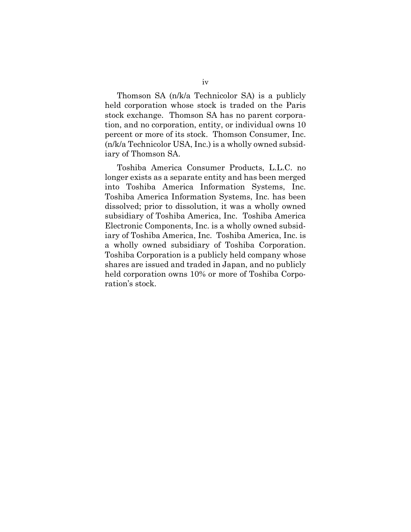Thomson SA (n/k/a Technicolor SA) is a publicly held corporation whose stock is traded on the Paris stock exchange. Thomson SA has no parent corporation, and no corporation, entity, or individual owns 10 percent or more of its stock. Thomson Consumer, Inc. (n/k/a Technicolor USA, Inc.) is a wholly owned subsidiary of Thomson SA.

Toshiba America Consumer Products, L.L.C. no longer exists as a separate entity and has been merged into Toshiba America Information Systems, Inc. Toshiba America Information Systems, Inc. has been dissolved; prior to dissolution, it was a wholly owned subsidiary of Toshiba America, Inc. Toshiba America Electronic Components, Inc. is a wholly owned subsidiary of Toshiba America, Inc. Toshiba America, Inc. is a wholly owned subsidiary of Toshiba Corporation. Toshiba Corporation is a publicly held company whose shares are issued and traded in Japan, and no publicly held corporation owns 10% or more of Toshiba Corporation's stock.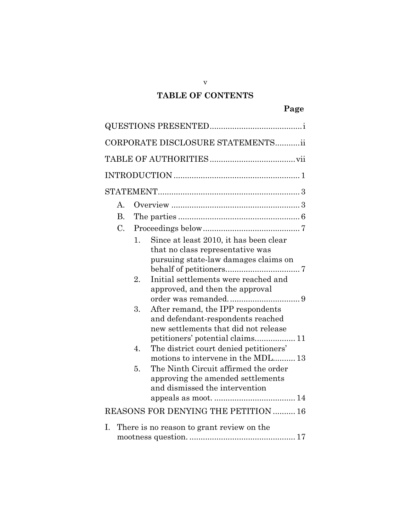# **TABLE OF CONTENTS**

v

|                 | CORPORATE DISCLOSURE STATEMENTSii                                                                                                                                                                                                                                                                                                                                                                                                                                                                                                                                                              |
|-----------------|------------------------------------------------------------------------------------------------------------------------------------------------------------------------------------------------------------------------------------------------------------------------------------------------------------------------------------------------------------------------------------------------------------------------------------------------------------------------------------------------------------------------------------------------------------------------------------------------|
|                 |                                                                                                                                                                                                                                                                                                                                                                                                                                                                                                                                                                                                |
|                 |                                                                                                                                                                                                                                                                                                                                                                                                                                                                                                                                                                                                |
|                 |                                                                                                                                                                                                                                                                                                                                                                                                                                                                                                                                                                                                |
| $\mathsf{A}$    |                                                                                                                                                                                                                                                                                                                                                                                                                                                                                                                                                                                                |
| <b>B.</b>       |                                                                                                                                                                                                                                                                                                                                                                                                                                                                                                                                                                                                |
| $\mathcal{C}$ . |                                                                                                                                                                                                                                                                                                                                                                                                                                                                                                                                                                                                |
|                 | Since at least 2010, it has been clear<br>1.<br>that no class representative was<br>pursuing state-law damages claims on<br>Initial settlements were reached and<br>$\overline{2}$ .<br>approved, and then the approval<br>3.<br>After remand, the IPP respondents<br>and defendant-respondents reached<br>new settlements that did not release<br>petitioners' potential claims 11<br>The district court denied petitioners'<br>4.<br>motions to intervene in the MDL 13<br>The Ninth Circuit affirmed the order<br>5.<br>approving the amended settlements<br>and dismissed the intervention |
|                 | REASONS FOR DENYING THE PETITION  16                                                                                                                                                                                                                                                                                                                                                                                                                                                                                                                                                           |
| Ι.              | There is no reason to grant review on the                                                                                                                                                                                                                                                                                                                                                                                                                                                                                                                                                      |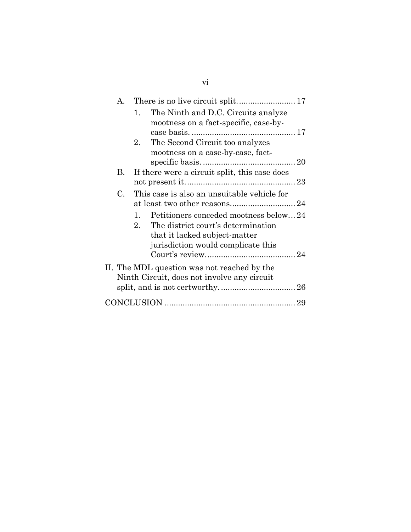| $\mathsf{A}$ . |                      |                                               |  |
|----------------|----------------------|-----------------------------------------------|--|
|                | 1.                   | The Ninth and D.C. Circuits analyze           |  |
|                |                      | mootness on a fact-specific, case-by-         |  |
|                |                      |                                               |  |
|                | 2.                   | The Second Circuit too analyzes               |  |
|                |                      | mootness on a case-by-case, fact-             |  |
|                |                      |                                               |  |
| В.             |                      | If there were a circuit split, this case does |  |
|                |                      |                                               |  |
| C.             |                      | This case is also an unsuitable vehicle for   |  |
|                |                      |                                               |  |
|                | $\mathbf{1}_{\cdot}$ | Petitioners conceded mootness below24         |  |
|                | 2.                   | The district court's determination            |  |
|                |                      | that it lacked subject-matter                 |  |
|                |                      | jurisdiction would complicate this            |  |
|                |                      |                                               |  |
|                |                      | II. The MDL question was not reached by the   |  |
|                |                      | Ninth Circuit, does not involve any circuit   |  |
|                |                      |                                               |  |
|                |                      |                                               |  |
|                |                      |                                               |  |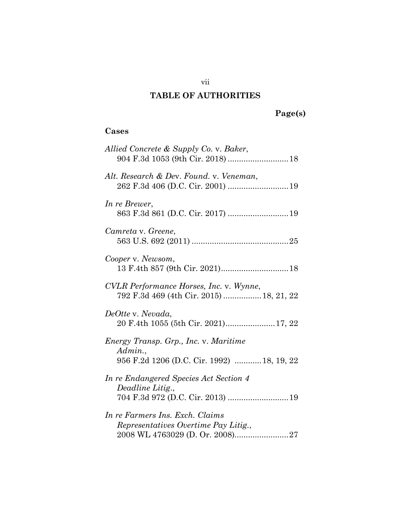# **TABLE OF AUTHORITIES**

# **Page(s)**

## **Cases**

| Allied Concrete & Supply Co. v. Baker,<br>904 F.3d 1053 (9th Cir. 2018)  18                     |
|-------------------------------------------------------------------------------------------------|
| Alt. Research & Dev. Found. v. Veneman,                                                         |
| In re Brewer,                                                                                   |
| Camreta v. Greene,                                                                              |
| Cooper v. Newsom,                                                                               |
| CVLR Performance Horses, Inc. v. Wynne,<br>792 F.3d 469 (4th Cir. 2015)  18, 21, 22             |
| DeOtte v. Nevada,<br>20 F.4th 1055 (5th Cir. 2021) 17, 22                                       |
| Energy Transp. Grp., Inc. v. Maritime<br>Admin.,<br>956 F.2d 1206 (D.C. Cir. 1992)  18, 19, 22  |
| In re Endangered Species Act Section 4<br>Deadline Litig.,<br>704 F.3d 972 (D.C. Cir. 2013)  19 |
| In re Farmers Ins. Exch. Claims<br>Representatives Overtime Pay Litig.,                         |

vii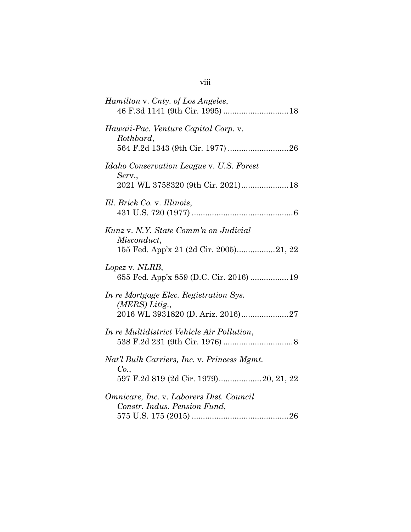| Hamilton v. Cnty. of Los Angeles,                                                               |
|-------------------------------------------------------------------------------------------------|
| Hawaii-Pac. Venture Capital Corp. v.<br>Rothbard,                                               |
| <i>Idaho Conservation League v. U.S. Forest</i><br>Serv.,<br>2021 WL 3758320 (9th Cir. 2021) 18 |
| Ill. Brick Co. v. Illinois,                                                                     |
| Kunz v. N.Y. State Comm'n on Judicial<br>Misconduct,<br>155 Fed. App'x 21 (2d Cir. 2005)21, 22  |
| Lopez v. NLRB,<br>655 Fed. App'x 859 (D.C. Cir. 2016)  19                                       |
| In re Mortgage Elec. Registration Sys.<br>$(MERS)$ Litig.,<br>2016 WL 3931820 (D. Ariz. 2016)27 |
| In re Multidistrict Vehicle Air Pollution,                                                      |
| Nat'l Bulk Carriers, Inc. v. Princess Mgmt.<br>Co.<br>597 F.2d 819 (2d Cir. 1979) 20, 21, 22    |
| Omnicare, Inc. v. Laborers Dist. Council<br>Constr. Indus. Pension Fund,                        |

| $\cdots$<br><b>V111</b> |  |
|-------------------------|--|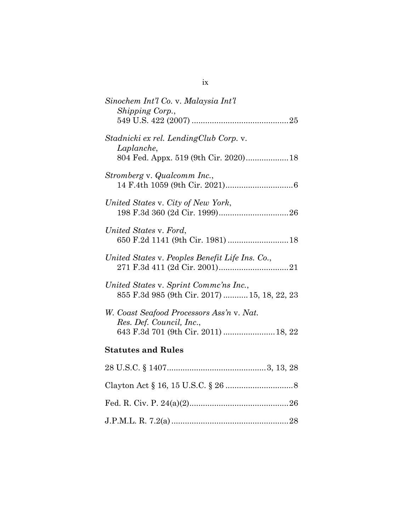| Sinochem Int'l Co. v. Malaysia Int'l<br>Shipping Corp.,                                                       |
|---------------------------------------------------------------------------------------------------------------|
|                                                                                                               |
| Stadnicki ex rel. LendingClub Corp. v.<br>Laplanche,                                                          |
| Stromberg v. Qualcomm Inc.,                                                                                   |
| United States v. City of New York,                                                                            |
| United States v. Ford,<br>650 F.2d 1141 (9th Cir. 1981)  18                                                   |
| United States v. Peoples Benefit Life Ins. Co.,                                                               |
| United States v. Sprint Comme'ns Inc.,<br>855 F.3d 985 (9th Cir. 2017)  15, 18, 22, 23                        |
| W. Coast Seafood Processors Ass'n v. Nat.<br>Res. Def. Council, Inc.,<br>643 F.3d 701 (9th Cir. 2011)  18, 22 |
| <b>Statutes and Rules</b>                                                                                     |
|                                                                                                               |
|                                                                                                               |
|                                                                                                               |
|                                                                                                               |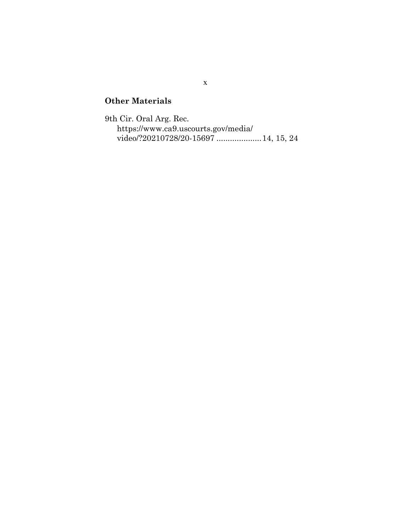# **Other Materials**

9th Cir. Oral Arg. Rec. https://www.ca9.uscourts.gov/media/ video/?20210728/20-15697 ....................14, [15,](#page-25-0) [24](#page-35-0)

x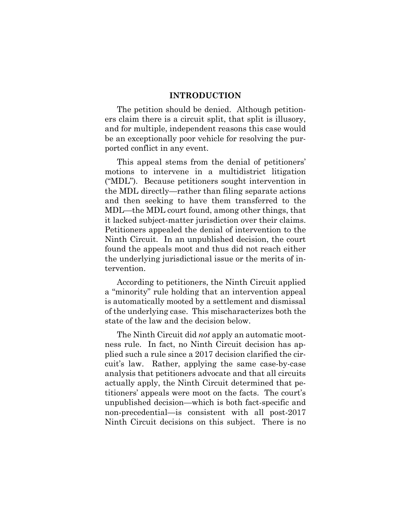#### **INTRODUCTION**

The petition should be denied. Although petitioners claim there is a circuit split, that split is illusory, and for multiple, independent reasons this case would be an exceptionally poor vehicle for resolving the purported conflict in any event.

This appeal stems from the denial of petitioners' motions to intervene in a multidistrict litigation ("MDL"). Because petitioners sought intervention in the MDL directly—rather than filing separate actions and then seeking to have them transferred to the MDL—the MDL court found, among other things, that it lacked subject-matter jurisdiction over their claims. Petitioners appealed the denial of intervention to the Ninth Circuit. In an unpublished decision, the court found the appeals moot and thus did not reach either the underlying jurisdictional issue or the merits of intervention.

According to petitioners, the Ninth Circuit applied a "minority" rule holding that an intervention appeal is automatically mooted by a settlement and dismissal of the underlying case. This mischaracterizes both the state of the law and the decision below.

The Ninth Circuit did *not* apply an automatic mootness rule. In fact, no Ninth Circuit decision has applied such a rule since a 2017 decision clarified the circuit's law. Rather, applying the same case-by-case analysis that petitioners advocate and that all circuits actually apply, the Ninth Circuit determined that petitioners' appeals were moot on the facts. The court's unpublished decision—which is both fact-specific and non-precedential—is consistent with all post-2017 Ninth Circuit decisions on this subject. There is no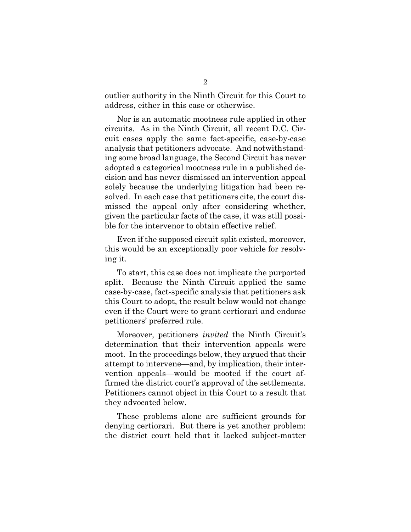outlier authority in the Ninth Circuit for this Court to address, either in this case or otherwise.

Nor is an automatic mootness rule applied in other circuits. As in the Ninth Circuit, all recent D.C. Circuit cases apply the same fact-specific, case-by-case analysis that petitioners advocate. And notwithstanding some broad language, the Second Circuit has never adopted a categorical mootness rule in a published decision and has never dismissed an intervention appeal solely because the underlying litigation had been resolved. In each case that petitioners cite, the court dismissed the appeal only after considering whether, given the particular facts of the case, it was still possible for the intervenor to obtain effective relief.

Even if the supposed circuit split existed, moreover, this would be an exceptionally poor vehicle for resolving it.

To start, this case does not implicate the purported split. Because the Ninth Circuit applied the same case-by-case, fact-specific analysis that petitioners ask this Court to adopt, the result below would not change even if the Court were to grant certiorari and endorse petitioners' preferred rule.

Moreover, petitioners *invited* the Ninth Circuit's determination that their intervention appeals were moot. In the proceedings below, they argued that their attempt to intervene—and, by implication, their intervention appeals—would be mooted if the court affirmed the district court's approval of the settlements. Petitioners cannot object in this Court to a result that they advocated below.

These problems alone are sufficient grounds for denying certiorari. But there is yet another problem: the district court held that it lacked subject-matter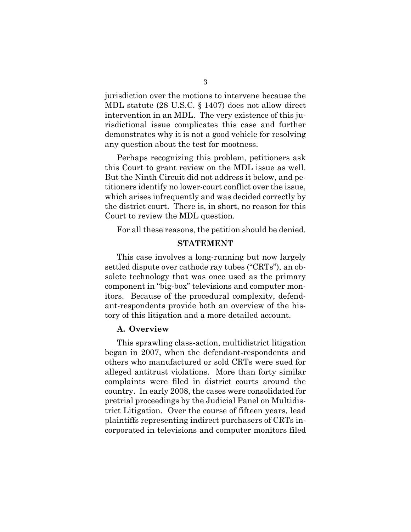<span id="page-14-0"></span>jurisdiction over the motions to intervene because the MDL statute (28 U.S.C. § 1407) does not allow direct intervention in an MDL. The very existence of this jurisdictional issue complicates this case and further demonstrates why it is not a good vehicle for resolving any question about the test for mootness.

Perhaps recognizing this problem, petitioners ask this Court to grant review on the MDL issue as well. But the Ninth Circuit did not address it below, and petitioners identify no lower-court conflict over the issue, which arises infrequently and was decided correctly by the district court. There is, in short, no reason for this Court to review the MDL question.

For all these reasons, the petition should be denied.

#### **STATEMENT**

This case involves a long-running but now largely settled dispute over cathode ray tubes ("CRTs"), an obsolete technology that was once used as the primary component in "big-box" televisions and computer monitors. Because of the procedural complexity, defendant-respondents provide both an overview of the history of this litigation and a more detailed account.

#### **A. Overview**

This sprawling class-action, multidistrict litigation began in 2007, when the defendant-respondents and others who manufactured or sold CRTs were sued for alleged antitrust violations. More than forty similar complaints were filed in district courts around the country. In early 2008, the cases were consolidated for pretrial proceedings by the Judicial Panel on Multidistrict Litigation. Over the course of fifteen years, lead plaintiffs representing indirect purchasers of CRTs incorporated in televisions and computer monitors filed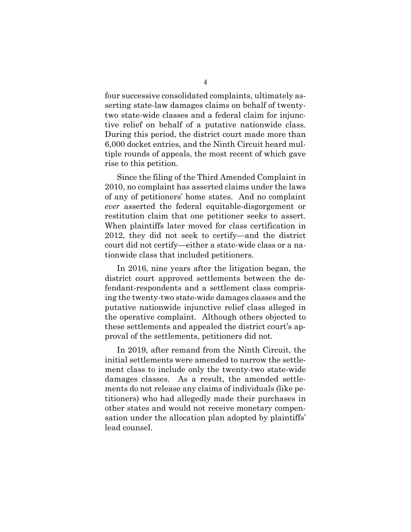four successive consolidated complaints, ultimately asserting state-law damages claims on behalf of twentytwo state-wide classes and a federal claim for injunctive relief on behalf of a putative nationwide class. During this period, the district court made more than 6,000 docket entries, and the Ninth Circuit heard multiple rounds of appeals, the most recent of which gave rise to this petition.

Since the filing of the Third Amended Complaint in 2010, no complaint has asserted claims under the laws of any of petitioners' home states. And no complaint *ever* asserted the federal equitable-disgorgement or restitution claim that one petitioner seeks to assert. When plaintiffs later moved for class certification in 2012, they did not seek to certify—and the district court did not certify—either a state-wide class or a nationwide class that included petitioners.

In 2016, nine years after the litigation began, the district court approved settlements between the defendant-respondents and a settlement class comprising the twenty-two state-wide damages classes and the putative nationwide injunctive relief class alleged in the operative complaint. Although others objected to these settlements and appealed the district court's approval of the settlements, petitioners did not.

In 2019, after remand from the Ninth Circuit, the initial settlements were amended to narrow the settlement class to include only the twenty-two state-wide damages classes. As a result, the amended settlements do not release any claims of individuals (like petitioners) who had allegedly made their purchases in other states and would not receive monetary compensation under the allocation plan adopted by plaintiffs' lead counsel.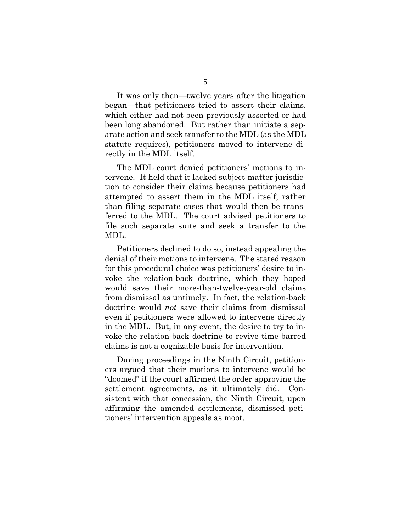It was only then—twelve years after the litigation began—that petitioners tried to assert their claims, which either had not been previously asserted or had been long abandoned. But rather than initiate a separate action and seek transfer to the MDL (as the MDL statute requires), petitioners moved to intervene directly in the MDL itself.

The MDL court denied petitioners' motions to intervene. It held that it lacked subject-matter jurisdiction to consider their claims because petitioners had attempted to assert them in the MDL itself, rather than filing separate cases that would then be transferred to the MDL. The court advised petitioners to file such separate suits and seek a transfer to the MDL.

Petitioners declined to do so, instead appealing the denial of their motions to intervene. The stated reason for this procedural choice was petitioners' desire to invoke the relation-back doctrine, which they hoped would save their more-than-twelve-year-old claims from dismissal as untimely. In fact, the relation-back doctrine would *not* save their claims from dismissal even if petitioners were allowed to intervene directly in the MDL. But, in any event, the desire to try to invoke the relation-back doctrine to revive time-barred claims is not a cognizable basis for intervention.

During proceedings in the Ninth Circuit, petitioners argued that their motions to intervene would be "doomed" if the court affirmed the order approving the settlement agreements, as it ultimately did. Consistent with that concession, the Ninth Circuit, upon affirming the amended settlements, dismissed petitioners' intervention appeals as moot.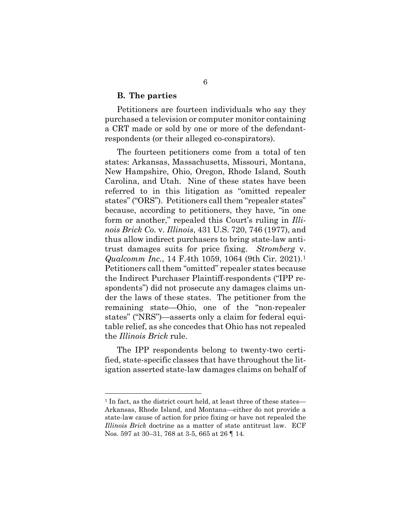#### **B. The parties**

Petitioners are fourteen individuals who say they purchased a television or computer monitor containing a CRT made or sold by one or more of the defendantrespondents (or their alleged co-conspirators).

<span id="page-17-1"></span><span id="page-17-0"></span>The fourteen petitioners come from a total of ten states: Arkansas, Massachusetts, Missouri, Montana, New Hampshire, Ohio, Oregon, Rhode Island, South Carolina, and Utah. Nine of these states have been referred to in this litigation as "omitted repealer states" ("ORS"). Petitioners call them "repealer states" because, according to petitioners, they have, "in one form or another," repealed this Court's ruling in *Illinois Brick Co.* v. *Illinois*, 431 U.S. 720, 746 (1977), and thus allow indirect purchasers to bring state-law antitrust damages suits for price fixing. *Stromberg* v. *Qualcomm Inc.*, 14 F.4th 1059, 1064 (9th Cir. 2021).<sup>1</sup> Petitioners call them "omitted" repealer states because the Indirect Purchaser Plaintiff-respondents ("IPP respondents") did not prosecute any damages claims under the laws of these states. The petitioner from the remaining state—Ohio, one of the "non-repealer states" ("NRS")—asserts only a claim for federal equitable relief, as she concedes that Ohio has not repealed the *Illinois Brick* rule.

The IPP respondents belong to twenty-two certified, state-specific classes that have throughout the litigation asserted state-law damages claims on behalf of

<span id="page-17-2"></span><sup>&</sup>lt;sup>1</sup> In fact, as the district court held, at least three of these states— Arkansas, Rhode Island, and Montana—either do not provide a state-law cause of action for price fixing or have not repealed the *Illinois Brick* doctrine as a matter of state antitrust law. ECF Nos. 597 at 30–31, 768 at 3-5, 665 at 26 ¶ 14.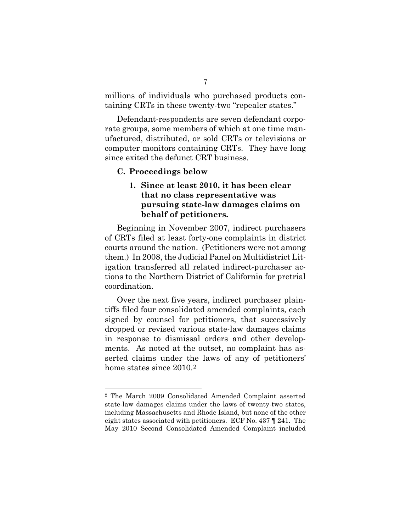millions of individuals who purchased products containing CRTs in these twenty-two "repealer states."

Defendant-respondents are seven defendant corporate groups, some members of which at one time manufactured, distributed, or sold CRTs or televisions or computer monitors containing CRTs. They have long since exited the defunct CRT business.

#### **C. Proceedings below**

## **1. Since at least 2010, it has been clear that no class representative was pursuing state-law damages claims on behalf of petitioners.**

Beginning in November 2007, indirect purchasers of CRTs filed at least forty-one complaints in district courts around the nation. (Petitioners were not among them.) In 2008, the Judicial Panel on Multidistrict Litigation transferred all related indirect-purchaser actions to the Northern District of California for pretrial coordination.

Over the next five years, indirect purchaser plaintiffs filed four consolidated amended complaints, each signed by counsel for petitioners, that successively dropped or revised various state-law damages claims in response to dismissal orders and other developments. As noted at the outset, no complaint has asserted claims under the laws of any of petitioners' home states since [2](#page-18-0)010.<sup>2</sup>

<span id="page-18-0"></span><sup>2</sup> The March 2009 Consolidated Amended Complaint asserted state-law damages claims under the laws of twenty-two states, including Massachusetts and Rhode Island, but none of the other eight states associated with petitioners. ECF No. 437 ¶ 241. The May 2010 Second Consolidated Amended Complaint included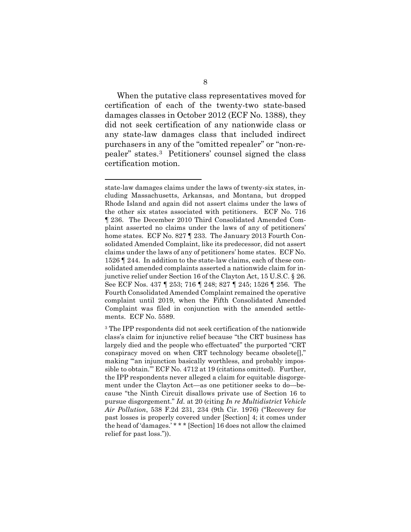When the putative class representatives moved for certification of each of the twenty-two state-based damages classes in October 2012 (ECF No. 1388), they did not seek certification of any nationwide class or any state-law damages class that included indirect purchasers in any of the "omitted repealer" or "non-repealer" states.[3](#page-19-2) Petitioners' counsel signed the class certification motion.

state-law damages claims under the laws of twenty-six states, including Massachusetts, Arkansas, and Montana, but dropped Rhode Island and again did not assert claims under the laws of the other six states associated with petitioners. ECF No. 716 ¶ 236. The December 2010 Third Consolidated Amended Complaint asserted no claims under the laws of any of petitioners' home states. ECF No. 827 ¶ 233. The January 2013 Fourth Consolidated Amended Complaint, like its predecessor, did not assert claims under the laws of any of petitioners' home states. ECF No. 1526 ¶ 244. In addition to the state-law claims, each of these consolidated amended complaints asserted a nationwide claim for injunctive relief under Section 16 of the Clayton Act, 15 U.S.C. § 26. See ECF Nos. 437 ¶ 253; 716 ¶ 248; 827 ¶ 245; 1526 ¶ 256. The Fourth Consolidated Amended Complaint remained the operative complaint until 2019, when the Fifth Consolidated Amended Complaint was filed in conjunction with the amended settlements. ECF No. 5589.

<span id="page-19-2"></span><span id="page-19-1"></span><span id="page-19-0"></span><sup>3</sup> The IPP respondents did not seek certification of the nationwide class's claim for injunctive relief because "the CRT business has largely died and the people who effectuated" the purported "CRT conspiracy moved on when CRT technology became obsolete[]," making "an injunction basically worthless, and probably impossible to obtain.'" ECF No. 4712 at 19 (citations omitted). Further, the IPP respondents never alleged a claim for equitable disgorgement under the Clayton Act—as one petitioner seeks to do—because "the Ninth Circuit disallows private use of Section 16 to pursue disgorgement." *Id.* at 20 (citing *In re Multidistrict Vehicle Air Pollution*, 538 F.2d 231, 234 (9th Cir. 1976) ("Recovery for past losses is properly covered under [Section] 4; it comes under the head of 'damages.' \* \* \* [Section] 16 does not allow the claimed relief for past loss.")).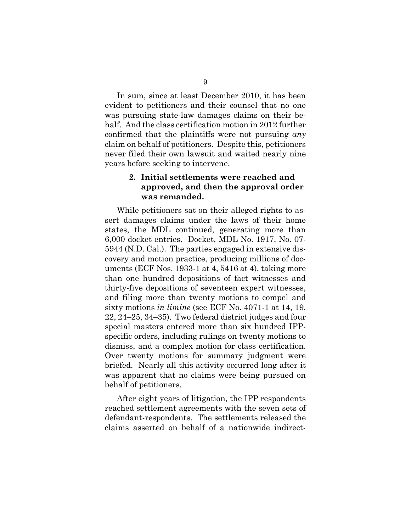In sum, since at least December 2010, it has been evident to petitioners and their counsel that no one was pursuing state-law damages claims on their behalf. And the class certification motion in 2012 further confirmed that the plaintiffs were not pursuing *any* claim on behalf of petitioners. Despite this, petitioners never filed their own lawsuit and waited nearly nine years before seeking to intervene.

## **2. Initial settlements were reached and approved, and then the approval order was remanded.**

While petitioners sat on their alleged rights to assert damages claims under the laws of their home states, the MDL continued, generating more than 6,000 docket entries. Docket, MDL No. 1917, No. 07- 5944 (N.D. Cal.). The parties engaged in extensive discovery and motion practice, producing millions of documents (ECF Nos. 1933-1 at 4, 5416 at 4), taking more than one hundred depositions of fact witnesses and thirty-five depositions of seventeen expert witnesses, and filing more than twenty motions to compel and sixty motions *in limine* (see ECF No. 4071-1 at 14, 19, 22, 24–25, 34–35). Two federal district judges and four special masters entered more than six hundred IPPspecific orders, including rulings on twenty motions to dismiss, and a complex motion for class certification. Over twenty motions for summary judgment were briefed. Nearly all this activity occurred long after it was apparent that no claims were being pursued on behalf of petitioners.

After eight years of litigation, the IPP respondents reached settlement agreements with the seven sets of defendant-respondents. The settlements released the claims asserted on behalf of a nationwide indirect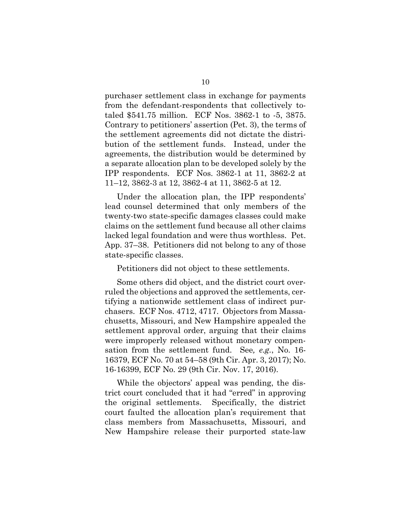purchaser settlement class in exchange for payments from the defendant-respondents that collectively totaled \$541.75 million. ECF Nos. 3862-1 to -5, 3875. Contrary to petitioners' assertion (Pet. 3), the terms of the settlement agreements did not dictate the distribution of the settlement funds. Instead, under the agreements, the distribution would be determined by a separate allocation plan to be developed solely by the IPP respondents. ECF Nos. 3862-1 at 11, 3862-2 at 11–12, 3862-3 at 12, 3862-4 at 11, 3862-5 at 12.

Under the allocation plan, the IPP respondents' lead counsel determined that only members of the twenty-two state-specific damages classes could make claims on the settlement fund because all other claims lacked legal foundation and were thus worthless. Pet. App. 37–38. Petitioners did not belong to any of those state-specific classes.

Petitioners did not object to these settlements.

Some others did object, and the district court overruled the objections and approved the settlements, certifying a nationwide settlement class of indirect purchasers. ECF Nos. 4712, 4717. Objectors from Massachusetts, Missouri, and New Hampshire appealed the settlement approval order, arguing that their claims were improperly released without monetary compensation from the settlement fund. See*, e.g.*, No. 16- 16379, ECF No. 70 at 54–58 (9th Cir. Apr. 3, 2017); No. 16-16399, ECF No. 29 (9th Cir. Nov. 17, 2016).

While the objectors' appeal was pending, the district court concluded that it had "erred" in approving the original settlements. Specifically, the district court faulted the allocation plan's requirement that class members from Massachusetts, Missouri, and New Hampshire release their purported state-law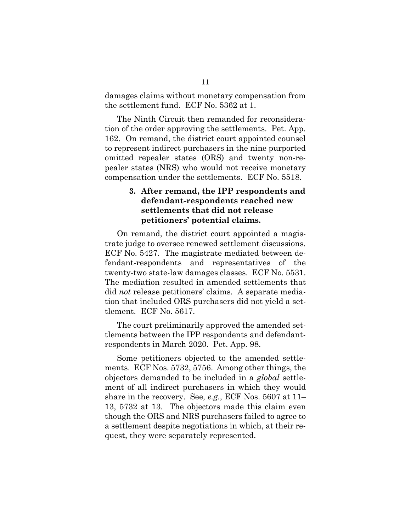damages claims without monetary compensation from the settlement fund. ECF No. 5362 at 1.

The Ninth Circuit then remanded for reconsideration of the order approving the settlements. Pet. App. 162. On remand, the district court appointed counsel to represent indirect purchasers in the nine purported omitted repealer states (ORS) and twenty non-repealer states (NRS) who would not receive monetary compensation under the settlements. ECF No. 5518.

## **3. After remand, the IPP respondents and defendant-respondents reached new settlements that did not release petitioners' potential claims.**

On remand, the district court appointed a magistrate judge to oversee renewed settlement discussions. ECF No. 5427. The magistrate mediated between defendant-respondents and representatives of the twenty-two state-law damages classes. ECF No. 5531. The mediation resulted in amended settlements that did *not* release petitioners' claims. A separate mediation that included ORS purchasers did not yield a settlement. ECF No. 5617.

The court preliminarily approved the amended settlements between the IPP respondents and defendantrespondents in March 2020. Pet. App. 98.

Some petitioners objected to the amended settlements. ECF Nos. 5732, 5756. Among other things, the objectors demanded to be included in a *global* settlement of all indirect purchasers in which they would share in the recovery. See*, e.g.*, ECF Nos. 5607 at 11– 13, 5732 at 13. The objectors made this claim even though the ORS and NRS purchasers failed to agree to a settlement despite negotiations in which, at their request, they were separately represented.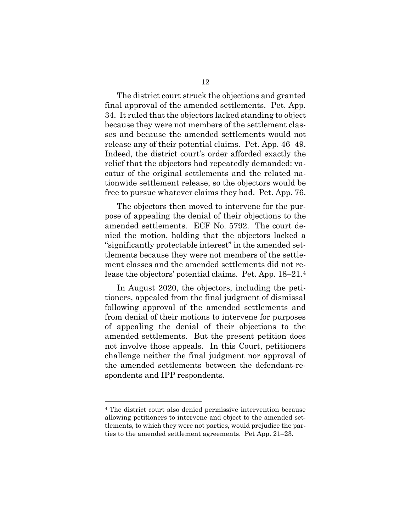The district court struck the objections and granted final approval of the amended settlements. Pet. App. 34. It ruled that the objectors lacked standing to object because they were not members of the settlement classes and because the amended settlements would not release any of their potential claims. Pet. App. 46–49. Indeed, the district court's order afforded exactly the relief that the objectors had repeatedly demanded: vacatur of the original settlements and the related nationwide settlement release, so the objectors would be free to pursue whatever claims they had. Pet. App. 76.

The objectors then moved to intervene for the purpose of appealing the denial of their objections to the amended settlements. ECF No. 5792. The court denied the motion, holding that the objectors lacked a "significantly protectable interest" in the amended settlements because they were not members of the settlement classes and the amended settlements did not release the objectors' potential claims. Pet. App. 18–21.[4](#page-23-0) 

In August 2020, the objectors, including the petitioners, appealed from the final judgment of dismissal following approval of the amended settlements and from denial of their motions to intervene for purposes of appealing the denial of their objections to the amended settlements. But the present petition does not involve those appeals. In this Court, petitioners challenge neither the final judgment nor approval of the amended settlements between the defendant-respondents and IPP respondents.

<span id="page-23-0"></span><sup>4</sup> The district court also denied permissive intervention because allowing petitioners to intervene and object to the amended settlements, to which they were not parties, would prejudice the parties to the amended settlement agreements. Pet App. 21–23.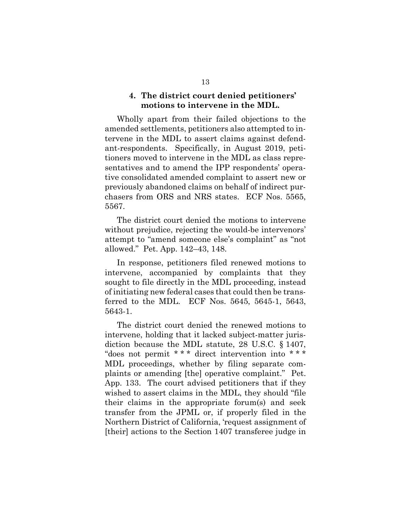### **4. The district court denied petitioners' motions to intervene in the MDL.**

Wholly apart from their failed objections to the amended settlements, petitioners also attempted to intervene in the MDL to assert claims against defendant-respondents. Specifically, in August 2019, petitioners moved to intervene in the MDL as class representatives and to amend the IPP respondents' operative consolidated amended complaint to assert new or previously abandoned claims on behalf of indirect purchasers from ORS and NRS states. ECF Nos. 5565, 5567.

The district court denied the motions to intervene without prejudice, rejecting the would-be intervenors' attempt to "amend someone else's complaint" as "not allowed." Pet. App. 142–43, 148.

In response, petitioners filed renewed motions to intervene, accompanied by complaints that they sought to file directly in the MDL proceeding, instead of initiating new federal cases that could then be transferred to the MDL. ECF Nos. 5645, 5645-1, 5643, 5643-1.

<span id="page-24-0"></span>The district court denied the renewed motions to intervene, holding that it lacked subject-matter jurisdiction because the MDL statute, 28 U.S.C. § 1407, "does not permit \* \* \* direct intervention into \* \* \* MDL proceedings, whether by filing separate complaints or amending [the] operative complaint." Pet. App. 133. The court advised petitioners that if they wished to assert claims in the MDL, they should "file their claims in the appropriate forum(s) and seek transfer from the JPML or, if properly filed in the Northern District of California, 'request assignment of [their] actions to the Section 1407 transferee judge in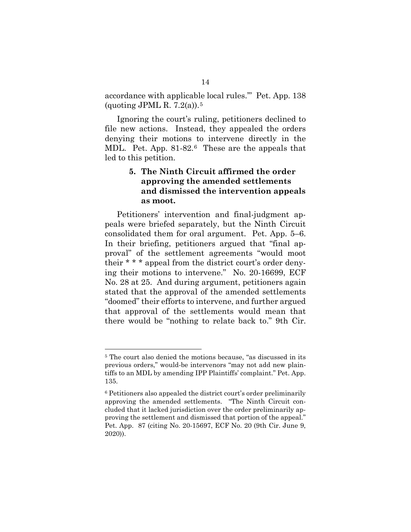accordance with applicable local rules.'" Pet. App. 138 (quoting JPML R.  $7.2(a)$ ).<sup>[5](#page-25-1)</sup>

Ignoring the court's ruling, petitioners declined to file new actions. Instead, they appealed the orders denying their motions to intervene directly in the MDL. Pet. App. 81-82.[6](#page-25-2) These are the appeals that led to this petition.

## **5. The Ninth Circuit affirmed the order approving the amended settlements and dismissed the intervention appeals as moot.**

Petitioners' intervention and final-judgment appeals were briefed separately, but the Ninth Circuit consolidated them for oral argument. Pet. App. 5–6. In their briefing, petitioners argued that "final approval" of the settlement agreements "would moot their \* \* \* appeal from the district court's order denying their motions to intervene." No. 20-16699, ECF No. 28 at 25. And during argument, petitioners again stated that the approval of the amended settlements "doomed" their efforts to intervene, and further argued that approval of the settlements would mean that there would be "nothing to relate back to." 9th Cir.

<span id="page-25-1"></span><span id="page-25-0"></span><sup>5</sup> The court also denied the motions because, "as discussed in its previous orders," would-be intervenors "may not add new plaintiffs to an MDL by amending IPP Plaintiffs' complaint." Pet. App. 135.

<span id="page-25-2"></span><sup>6</sup> Petitioners also appealed the district court's order preliminarily approving the amended settlements. "The Ninth Circuit concluded that it lacked jurisdiction over the order preliminarily approving the settlement and dismissed that portion of the appeal." Pet. App. 87 (citing No. 20-15697, ECF No. 20 (9th Cir. June 9, 2020)).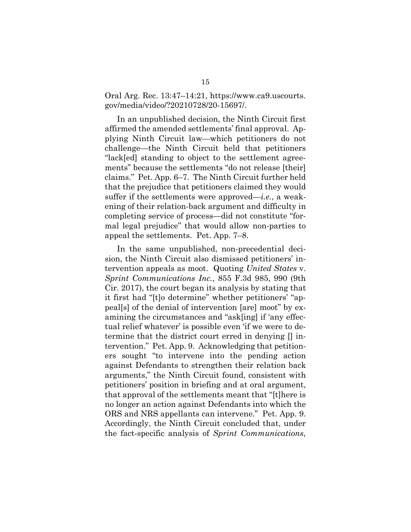Oral Arg. Rec. 13:47–14:21, https://www.ca9.uscourts. gov/media/video/?20210728/20-15697/.

In an unpublished decision, the Ninth Circuit first affirmed the amended settlements' final approval. Applying Ninth Circuit law—which petitioners do not challenge—the Ninth Circuit held that petitioners "lack[ed] standing to object to the settlement agreements" because the settlements "do not release [their] claims." Pet. App. 6–7. The Ninth Circuit further held that the prejudice that petitioners claimed they would suffer if the settlements were approved—*i.e.*, a weakening of their relation-back argument and difficulty in completing service of process—did not constitute "formal legal prejudice" that would allow non-parties to appeal the settlements. Pet. App. 7–8.

<span id="page-26-0"></span>In the same unpublished, non-precedential decision, the Ninth Circuit also dismissed petitioners' intervention appeals as moot. Quoting *United States* v. *Sprint Communications Inc.*, 855 F.3d 985, 990 (9th Cir. 2017), the court began its analysis by stating that it first had "[t]o determine" whether petitioners' "appeal[s] of the denial of intervention [are] moot" by examining the circumstances and "ask[ing] if 'any effectual relief whatever' is possible even 'if we were to determine that the district court erred in denying  $\parallel$  intervention." Pet. App. 9. Acknowledging that petitioners sought "to intervene into the pending action against Defendants to strengthen their relation back arguments," the Ninth Circuit found, consistent with petitioners' position in briefing and at oral argument, that approval of the settlements meant that "[t]here is no longer an action against Defendants into which the ORS and NRS appellants can intervene." Pet. App. 9. Accordingly, the Ninth Circuit concluded that, under the fact-specific analysis of *Sprint Communications*,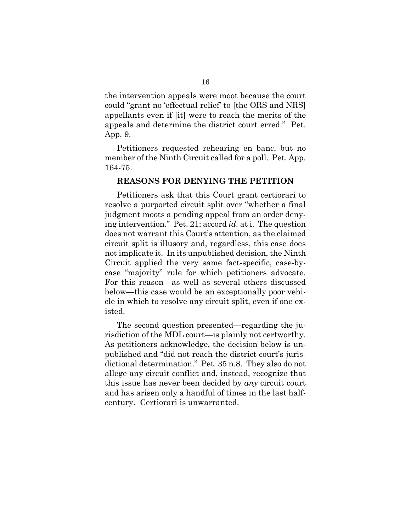the intervention appeals were moot because the court could "grant no 'effectual relief' to [the ORS and NRS] appellants even if [it] were to reach the merits of the appeals and determine the district court erred." Pet. App. 9.

Petitioners requested rehearing en banc, but no member of the Ninth Circuit called for a poll. Pet. App. 164-75.

#### **REASONS FOR DENYING THE PETITION**

Petitioners ask that this Court grant certiorari to resolve a purported circuit split over "whether a final judgment moots a pending appeal from an order denying intervention." Pet. 21; accord *id.* at i. The question does not warrant this Court's attention, as the claimed circuit split is illusory and, regardless, this case does not implicate it. In its unpublished decision, the Ninth Circuit applied the very same fact-specific, case-bycase "majority" rule for which petitioners advocate. For this reason—as well as several others discussed below—this case would be an exceptionally poor vehicle in which to resolve any circuit split, even if one existed.

The second question presented—regarding the jurisdiction of the MDL court—is plainly not certworthy. As petitioners acknowledge, the decision below is unpublished and "did not reach the district court's jurisdictional determination." Pet. 35 n.8. They also do not allege any circuit conflict and, instead, recognize that this issue has never been decided by *any* circuit court and has arisen only a handful of times in the last halfcentury. Certiorari is unwarranted.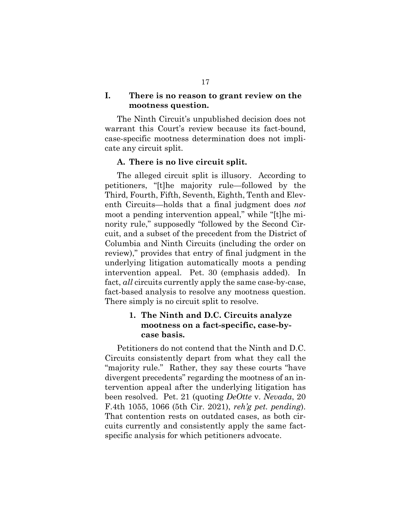### **I. There is no reason to grant review on the mootness question.**

The Ninth Circuit's unpublished decision does not warrant this Court's review because its fact-bound, case-specific mootness determination does not implicate any circuit split.

#### **A. There is no live circuit split.**

The alleged circuit split is illusory. According to petitioners, "[t]he majority rule—followed by the Third, Fourth, Fifth, Seventh, Eighth, Tenth and Eleventh Circuits—holds that a final judgment does *not* moot a pending intervention appeal," while "[t]he minority rule," supposedly "followed by the Second Circuit, and a subset of the precedent from the District of Columbia and Ninth Circuits (including the order on review)," provides that entry of final judgment in the underlying litigation automatically moots a pending intervention appeal. Pet. 30 (emphasis added). In fact, *all* circuits currently apply the same case-by-case, fact-based analysis to resolve any mootness question. There simply is no circuit split to resolve.

## <span id="page-28-0"></span>**1. The Ninth and D.C. Circuits analyze mootness on a fact-specific, case-bycase basis.**

Petitioners do not contend that the Ninth and D.C. Circuits consistently depart from what they call the "majority rule." Rather, they say these courts "have divergent precedents" regarding the mootness of an intervention appeal after the underlying litigation has been resolved. Pet. 21 (quoting *DeOtte* v. *Nevada*, 20 F.4th 1055, 1066 (5th Cir. 2021), *reh'g pet. pending*). That contention rests on outdated cases, as both circuits currently and consistently apply the same factspecific analysis for which petitioners advocate.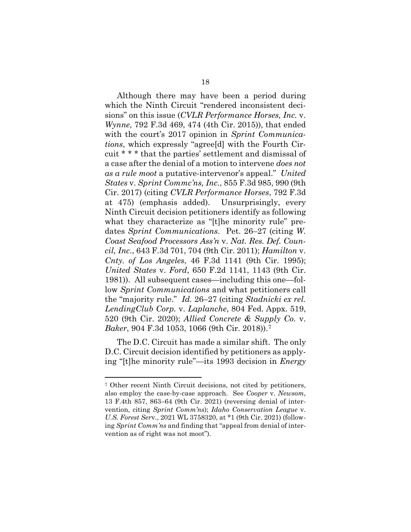<span id="page-29-7"></span><span id="page-29-2"></span>Although there may have been a period during which the Ninth Circuit "rendered inconsistent decisions" on this issue (*CVLR Performance Horses, Inc.* v. *Wynne*, 792 F.3d 469, 474 (4th Cir. 2015)), that ended with the court's 2017 opinion in *Sprint Communications*, which expressly "agree[d] with the Fourth Circuit \* \* \* that the parties' settlement and dismissal of a case after the denial of a motion to intervene *does not as a rule moot* a putative-intervenor's appeal." *United States* v. *Sprint Commc'ns, Inc.*, 855 F.3d 985, 990 (9th Cir. 2017) (citing *CVLR Performance Horses*, 792 F.3d at 475) (emphasis added). Unsurprisingly, every Ninth Circuit decision petitioners identify as following what they characterize as "[t]he minority rule" predates *Sprint Communications*. Pet. 26–27 (citing *W. Coast Seafood Processors Ass'n* v. *Nat. Res. Def. Council, Inc*., 643 F.3d 701, 704 (9th Cir. 2011); *Hamilton* v. *Cnty. of Los Angeles*, 46 F.3d 1141 (9th Cir. 1995); *United States* v. *Ford*, 650 F.2d 1141, 1143 (9th Cir. 1981)). All subsequent cases—including this one—follow *Sprint Communications* and what petitioners call the "majority rule." *Id.* 26–27 (citing *Stadnicki ex rel. LendingClub Corp.* v. *Laplanche*, 804 Fed. Appx. 519, 520 (9th Cir. 2020); *Allied Concrete & Supply Co.* v. *Baker*, 904 F.3d 1053, 1066 (9th Cir. 2018)).[7](#page-29-9)

<span id="page-29-8"></span><span id="page-29-6"></span><span id="page-29-5"></span><span id="page-29-3"></span><span id="page-29-0"></span>The D.C. Circuit has made a similar shift. The only D.C. Circuit decision identified by petitioners as applying "[t]he minority rule"—its 1993 decision in *Energy* 

<span id="page-29-9"></span><span id="page-29-4"></span><span id="page-29-1"></span><sup>7</sup> Other recent Ninth Circuit decisions, not cited by petitioners, also employ the case-by-case approach. See *Cooper* v. *Newsom*, 13 F.4th 857, 863–64 (9th Cir. 2021) (reversing denial of intervention, citing *Sprint Comm'ns*); *Idaho Conservation League* v. *U.S. Forest Ser*v., 2021 WL 3758320, at \*1 (9th Cir. 2021) (following *Sprint Comm'ns* and finding that "appeal from denial of intervention as of right was not moot").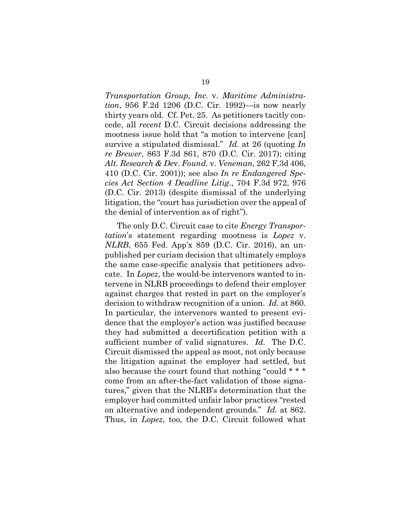<span id="page-30-1"></span>*Transportation Group, Inc.* v. *Maritime Administration*, 956 F.2d 1206 (D.C. Cir. 1992)—is now nearly thirty years old. Cf. Pet. 25. As petitioners tacitly concede, all *recent* D.C. Circuit decisions addressing the mootness issue hold that "a motion to intervene [can] survive a stipulated dismissal." *Id.* at 26 (quoting *In re Brewer*, 863 F.3d 861, 870 (D.C. Cir. 2017); citing *Alt. Research & De*v. *Found.* v. *Veneman*, 262 F.3d 406, 410 (D.C. Cir. 2001)); see also *In re Endangered Species Act Section 4 Deadline Litig*., 704 F.3d 972, 976 (D.C. Cir. 2013) (despite dismissal of the underlying litigation, the "court has jurisdiction over the appeal of the denial of intervention as of right").

<span id="page-30-3"></span><span id="page-30-2"></span><span id="page-30-0"></span>The only D.C. Circuit case to cite *Energy Transportation*'s statement regarding mootness is *Lopez* v. *NLRB*, 655 Fed. App'x 859 (D.C. Cir. 2016), an unpublished per curiam decision that ultimately employs the same case-specific analysis that petitioners advocate. In *Lopez*, the would-be intervenors wanted to intervene in NLRB proceedings to defend their employer against charges that rested in part on the employer's decision to withdraw recognition of a union. *Id.* at 860. In particular, the intervenors wanted to present evidence that the employer's action was justified because they had submitted a decertification petition with a sufficient number of valid signatures. *Id.* The D.C. Circuit dismissed the appeal as moot, not only because the litigation against the employer had settled, but also because the court found that nothing "could \* \* \* come from an after-the-fact validation of those signatures," given that the NLRB's determination that the employer had committed unfair labor practices "rested on alternative and independent grounds." *Id.* at 862. Thus, in *Lopez*, too, the D.C. Circuit followed what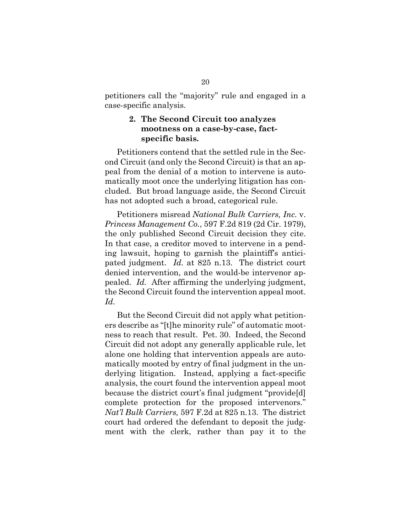petitioners call the "majority" rule and engaged in a case-specific analysis.

#### **2. The Second Circuit too analyzes mootness on a case-by-case, factspecific basis.**

Petitioners contend that the settled rule in the Second Circuit (and only the Second Circuit) is that an appeal from the denial of a motion to intervene is automatically moot once the underlying litigation has concluded. But broad language aside, the Second Circuit has not adopted such a broad, categorical rule.

<span id="page-31-0"></span>Petitioners misread *National Bulk Carriers, Inc.* v. *Princess Management Co.*, 597 F.2d 819 (2d Cir. 1979), the only published Second Circuit decision they cite. In that case, a creditor moved to intervene in a pending lawsuit, hoping to garnish the plaintiff's anticipated judgment. *Id.* at 825 n.13. The district court denied intervention, and the would-be intervenor appealed. *Id.* After affirming the underlying judgment, the Second Circuit found the intervention appeal moot. *Id.*

But the Second Circuit did not apply what petitioners describe as "[t]he minority rule" of automatic mootness to reach that result. Pet. 30. Indeed, the Second Circuit did not adopt any generally applicable rule, let alone one holding that intervention appeals are automatically mooted by entry of final judgment in the underlying litigation. Instead, applying a fact-specific analysis, the court found the intervention appeal moot because the district court's final judgment "provide[d] complete protection for the proposed intervenors." *Nat'l Bulk Carriers,* 597 F.2d at 825 n.13. The district court had ordered the defendant to deposit the judgment with the clerk, rather than pay it to the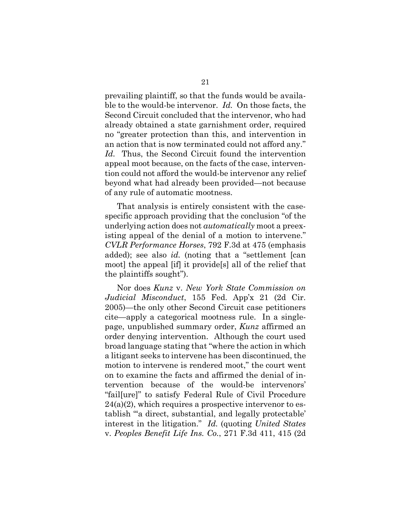prevailing plaintiff, so that the funds would be available to the would-be intervenor. *Id.* On those facts, the Second Circuit concluded that the intervenor, who had already obtained a state garnishment order, required no "greater protection than this, and intervention in an action that is now terminated could not afford any." *Id.* Thus, the Second Circuit found the intervention appeal moot because, on the facts of the case, intervention could not afford the would-be intervenor any relief beyond what had already been provided—not because of any rule of automatic mootness.

<span id="page-32-2"></span><span id="page-32-0"></span>That analysis is entirely consistent with the casespecific approach providing that the conclusion "of the underlying action does not *automatically* moot a preexisting appeal of the denial of a motion to intervene." *CVLR Performance Horses*, 792 F.3d at 475 (emphasis added); see also *id.* (noting that a "settlement [can moot] the appeal [if] it provide[s] all of the relief that the plaintiffs sought").

<span id="page-32-3"></span><span id="page-32-1"></span>Nor does *Kunz* v. *New York State Commission on Judicial Misconduct*, 155 Fed. App'x 21 (2d Cir. 2005)—the only other Second Circuit case petitioners cite—apply a categorical mootness rule. In a singlepage, unpublished summary order, *Kunz* affirmed an order denying intervention. Although the court used broad language stating that "where the action in which a litigant seeks to intervene has been discontinued, the motion to intervene is rendered moot," the court went on to examine the facts and affirmed the denial of intervention because of the would-be intervenors' "fail[ure]" to satisfy Federal Rule of Civil Procedure  $24(a)(2)$ , which requires a prospective intervenor to establish "'a direct, substantial, and legally protectable' interest in the litigation." *Id.* (quoting *United States*  v. *Peoples Benefit Life Ins. Co.*, 271 F.3d 411, 415 (2d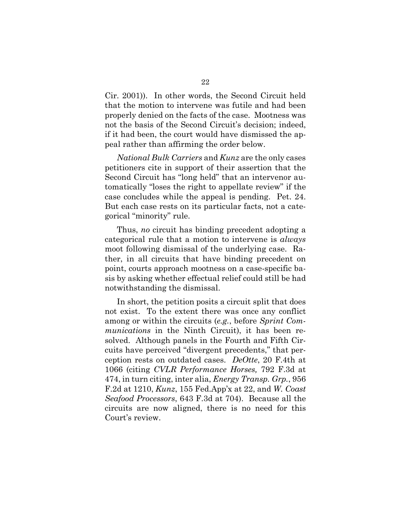Cir. 2001)). In other words, the Second Circuit held that the motion to intervene was futile and had been properly denied on the facts of the case. Mootness was not the basis of the Second Circuit's decision; indeed, if it had been, the court would have dismissed the appeal rather than affirming the order below.

<span id="page-33-3"></span><span id="page-33-2"></span>*National Bulk Carriers* and *Kunz* are the only cases petitioners cite in support of their assertion that the Second Circuit has "long held" that an intervenor automatically "loses the right to appellate review" if the case concludes while the appeal is pending. Pet. 24. But each case rests on its particular facts, not a categorical "minority" rule.

Thus, *no* circuit has binding precedent adopting a categorical rule that a motion to intervene is *always* moot following dismissal of the underlying case. Rather, in all circuits that have binding precedent on point, courts approach mootness on a case-specific basis by asking whether effectual relief could still be had notwithstanding the dismissal.

<span id="page-33-5"></span><span id="page-33-4"></span><span id="page-33-1"></span><span id="page-33-0"></span>In short, the petition posits a circuit split that does not exist. To the extent there was once any conflict among or within the circuits (*e.g.*, before *Sprint Communications* in the Ninth Circuit), it has been resolved. Although panels in the Fourth and Fifth Circuits have perceived "divergent precedents," that perception rests on outdated cases. *DeOtte*, 20 F.4th at 1066 (citing *CVLR Performance Horses,* 792 F.3d at 474, in turn citing, inter alia, *Energy Transp. Grp.*, 956 F.2d at 1210, *Kunz*, 155 Fed.App'x at 22, and *W. Coast Seafood Processors*, 643 F.3d at 704). Because all the circuits are now aligned, there is no need for this Court's review.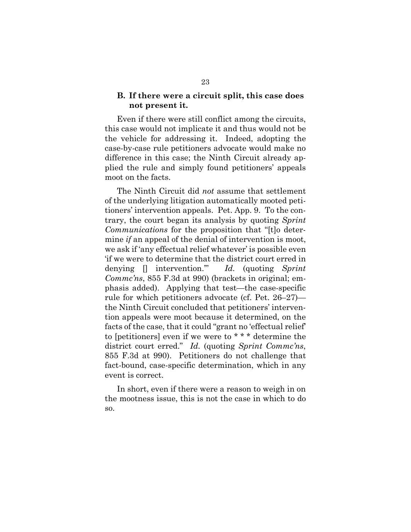#### **B. If there were a circuit split, this case does not present it.**

Even if there were still conflict among the circuits, this case would not implicate it and thus would not be the vehicle for addressing it. Indeed, adopting the case-by-case rule petitioners advocate would make no difference in this case; the Ninth Circuit already applied the rule and simply found petitioners' appeals moot on the facts.

<span id="page-34-0"></span>The Ninth Circuit did *not* assume that settlement of the underlying litigation automatically mooted petitioners' intervention appeals. Pet. App. 9. To the contrary, the court began its analysis by quoting *Sprint Communications* for the proposition that "[t]o determine *if* an appeal of the denial of intervention is moot, we ask if 'any effectual relief whatever' is possible even 'if we were to determine that the district court erred in denying [] intervention.'" *Id.* (quoting *Sprint Commc'ns*, 855 F.3d at 990) (brackets in original; emphasis added). Applying that test—the case-specific rule for which petitioners advocate (cf. Pet. 26–27) the Ninth Circuit concluded that petitioners' intervention appeals were moot because it determined, on the facts of the case, that it could "grant no 'effectual relief' to [petitioners] even if we were to \* \* \* determine the district court erred." *Id.* (quoting *Sprint Commc'ns*, 855 F.3d at 990). Petitioners do not challenge that fact-bound, case-specific determination, which in any event is correct.

In short, even if there were a reason to weigh in on the mootness issue, this is not the case in which to do so.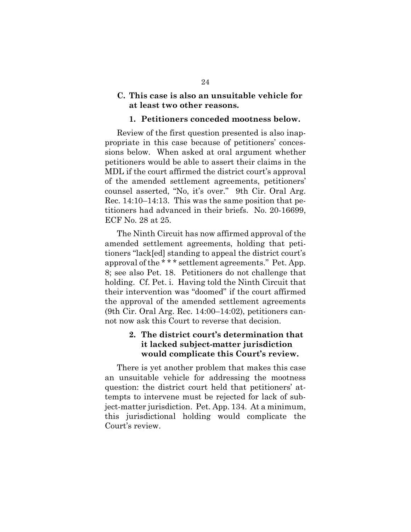#### **C. This case is also an unsuitable vehicle for at least two other reasons.**

#### <span id="page-35-0"></span>**1. Petitioners conceded mootness below.**

Review of the first question presented is also inappropriate in this case because of petitioners' concessions below. When asked at oral argument whether petitioners would be able to assert their claims in the MDL if the court affirmed the district court's approval of the amended settlement agreements, petitioners' counsel asserted, "No, it's over." 9th Cir. Oral Arg. Rec. 14:10–14:13. This was the same position that petitioners had advanced in their briefs. No. 20-16699, ECF No. 28 at 25.

The Ninth Circuit has now affirmed approval of the amended settlement agreements, holding that petitioners "lack[ed] standing to appeal the district court's approval of the \* \* \* settlement agreements." Pet. App. 8; see also Pet. 18. Petitioners do not challenge that holding. Cf. Pet. i. Having told the Ninth Circuit that their intervention was "doomed" if the court affirmed the approval of the amended settlement agreements (9th Cir. Oral Arg. Rec. 14:00–14:02), petitioners cannot now ask this Court to reverse that decision.

## **2. The district court's determination that it lacked subject-matter jurisdiction would complicate this Court's review.**

There is yet another problem that makes this case an unsuitable vehicle for addressing the mootness question: the district court held that petitioners' attempts to intervene must be rejected for lack of subject-matter jurisdiction. Pet. App. 134. At a minimum, this jurisdictional holding would complicate the Court's review.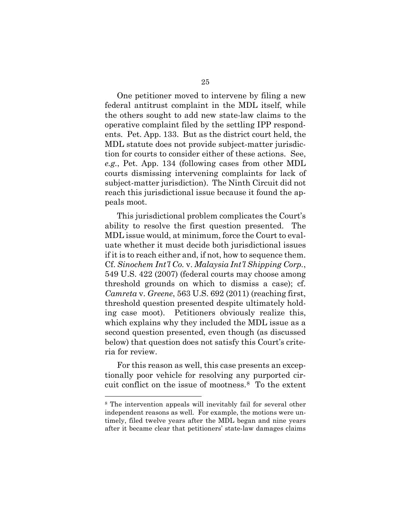One petitioner moved to intervene by filing a new federal antitrust complaint in the MDL itself, while the others sought to add new state-law claims to the operative complaint filed by the settling IPP respondents. Pet. App. 133. But as the district court held, the MDL statute does not provide subject-matter jurisdiction for courts to consider either of these actions. See, *e.g.*, Pet. App. 134 (following cases from other MDL courts dismissing intervening complaints for lack of subject-matter jurisdiction). The Ninth Circuit did not reach this jurisdictional issue because it found the appeals moot.

<span id="page-36-1"></span>This jurisdictional problem complicates the Court's ability to resolve the first question presented. The MDL issue would, at minimum, force the Court to evaluate whether it must decide both jurisdictional issues if it is to reach either and, if not, how to sequence them. Cf. *Sinochem Int'l Co.* v. *Malaysia Int'l Shipping Corp.*, 549 U.S. 422 (2007) (federal courts may choose among threshold grounds on which to dismiss a case); cf. *Camreta* v. *Greene*, 563 U.S. 692 (2011) (reaching first, threshold question presented despite ultimately holding case moot). Petitioners obviously realize this, which explains why they included the MDL issue as a second question presented, even though (as discussed below) that question does not satisfy this Court's criteria for review.

<span id="page-36-0"></span>For this reason as well, this case presents an exceptionally poor vehicle for resolving any purported circuit conflict on the issue of mootness.[8](#page-36-2) To the extent

<span id="page-36-2"></span><sup>8</sup> The intervention appeals will inevitably fail for several other independent reasons as well. For example, the motions were untimely, filed twelve years after the MDL began and nine years after it became clear that petitioners' state-law damages claims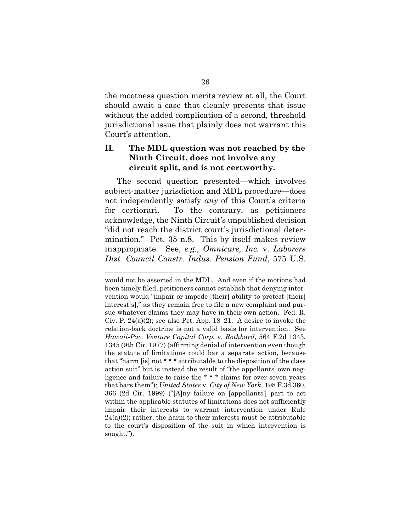the mootness question merits review at all, the Court should await a case that cleanly presents that issue without the added complication of a second, threshold jurisdictional issue that plainly does not warrant this Court's attention.

## **II. The MDL question was not reached by the Ninth Circuit, does not involve any circuit split, and is not certworthy.**

The second question presented—which involves subject-matter jurisdiction and MDL procedure—does not independently satisfy *any* of this Court's criteria for certiorari. To the contrary, as petitioners acknowledge, the Ninth Circuit's unpublished decision "did not reach the district court's jurisdictional determination." Pet. 35 n.8. This by itself makes review inappropriate. See, *e.g., Omnicare, Inc.* v. *Laborers Dist. Council Constr. Indus. Pension Fund*, 575 U.S.

<span id="page-37-3"></span><span id="page-37-2"></span><span id="page-37-1"></span><span id="page-37-0"></span>would not be asserted in the MDL. And even if the motions had been timely filed, petitioners cannot establish that denying intervention would "impair or impede [their] ability to protect [their] interest[s]," as they remain free to file a new complaint and pursue whatever claims they may have in their own action. Fed. R. Civ. P. 24(a)(2); see also Pet. App. 18–21. A desire to invoke the relation-back doctrine is not a valid basis for intervention. See *Hawaii-Pac. Venture Capital Corp.* v. *Rothbard*, 564 F.2d 1343, 1345 (9th Cir. 1977) (affirming denial of intervention even though the statute of limitations could bar a separate action, because that "harm [is] not \* \* \* attributable to the disposition of the class action suit" but is instead the result of "the appellants' own negligence and failure to raise the \* \* \* claims for over seven years that bars them"); *United States* v. *City of New York*, 198 F.3d 360, 366 (2d Cir. 1999) ("[A]ny failure on [appellants'] part to act within the applicable statutes of limitations does not sufficiently impair their interests to warrant intervention under Rule  $24(a)(2)$ ; rather, the harm to their interests must be attributable to the court's disposition of the suit in which intervention is sought.").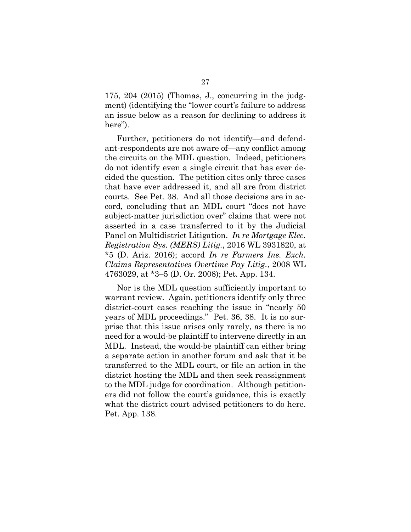175, 204 (2015) (Thomas, J., concurring in the judgment) (identifying the "lower court's failure to address an issue below as a reason for declining to address it here").

Further, petitioners do not identify—and defendant-respondents are not aware of—any conflict among the circuits on the MDL question. Indeed, petitioners do not identify even a single circuit that has ever decided the question. The petition cites only three cases that have ever addressed it, and all are from district courts. See Pet. 38. And all those decisions are in accord, concluding that an MDL court "does not have subject-matter jurisdiction over" claims that were not asserted in a case transferred to it by the Judicial Panel on Multidistrict Litigation. *In re Mortgage Elec. Registration Sys. (MERS) Litig.*, 2016 WL 3931820, at \*5 (D. Ariz. 2016); accord *In re Farmers Ins. Exch. Claims Representatives Overtime Pay Litig.*, 2008 WL 4763029, at \*3–5 (D. Or. 2008); Pet. App. 134.

<span id="page-38-1"></span><span id="page-38-0"></span>Nor is the MDL question sufficiently important to warrant review. Again, petitioners identify only three district-court cases reaching the issue in "nearly 50 years of MDL proceedings." Pet. 36, 38. It is no surprise that this issue arises only rarely, as there is no need for a would-be plaintiff to intervene directly in an MDL. Instead, the would-be plaintiff can either bring a separate action in another forum and ask that it be transferred to the MDL court, or file an action in the district hosting the MDL and then seek reassignment to the MDL judge for coordination. Although petitioners did not follow the court's guidance, this is exactly what the district court advised petitioners to do here. Pet. App. 138.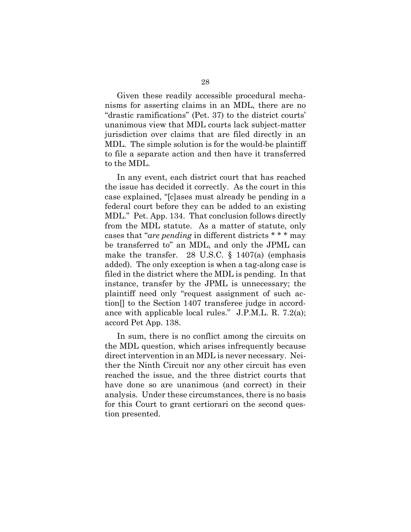Given these readily accessible procedural mechanisms for asserting claims in an MDL, there are no "drastic ramifications" (Pet. 37) to the district courts' unanimous view that MDL courts lack subject-matter jurisdiction over claims that are filed directly in an MDL. The simple solution is for the would-be plaintiff to file a separate action and then have it transferred to the MDL.

<span id="page-39-0"></span>In any event, each district court that has reached the issue has decided it correctly. As the court in this case explained, "[c]ases must already be pending in a federal court before they can be added to an existing MDL." Pet. App. 134. That conclusion follows directly from the MDL statute. As a matter of statute, only cases that "*are pending* in different districts \* \* \* may be transferred to" an MDL, and only the JPML can make the transfer. 28 U.S.C.  $\S$  1407(a) (emphasis added). The only exception is when a tag-along case is filed in the district where the MDL is pending. In that instance, transfer by the JPML is unnecessary; the plaintiff need only "request assignment of such action[] to the Section 1407 transferee judge in accordance with applicable local rules." J.P.M.L. R. 7.2(a); accord Pet App. 138.

<span id="page-39-1"></span>In sum, there is no conflict among the circuits on the MDL question, which arises infrequently because direct intervention in an MDL is never necessary. Neither the Ninth Circuit nor any other circuit has even reached the issue, and the three district courts that have done so are unanimous (and correct) in their analysis. Under these circumstances, there is no basis for this Court to grant certiorari on the second question presented.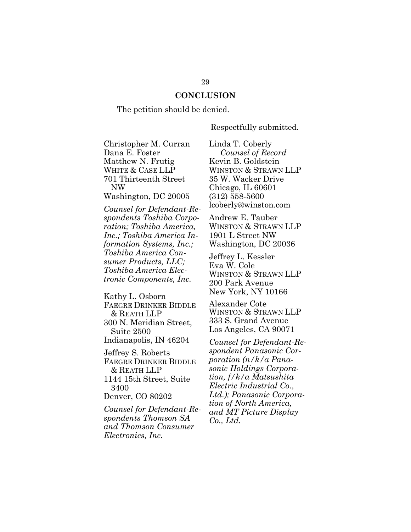#### **CONCLUSION**

The petition should be denied.

Respectfully submitted.

Christopher M. Curran Dana E. Foster Matthew N. Frutig WHITE & CASE LLP 701 Thirteenth Street NW

Washington, DC 20005

*Counsel for Defendant-Respondents Toshiba Corporation; Toshiba America, Inc.; Toshiba America Information Systems, Inc.; Toshiba America Consumer Products, LLC; Toshiba America Electronic Components, Inc.*

Kathy L. Osborn FAEGRE DRINKER BIDDLE & REATH LLP 300 N. Meridian Street, Suite 2500 Indianapolis, IN 46204

Jeffrey S. Roberts FAEGRE DRINKER BIDDLE & REATH LLP 1144 15th Street, Suite

3400 Denver, CO 80202

*Counsel for Defendant-Respondents Thomson SA and Thomson Consumer Electronics, Inc.*

Linda T. Coberly *Counsel of Record* Kevin B. Goldstein WINSTON & STRAWN LLP 35 W. Wacker Drive Chicago, IL 60601 (312) 558-5600 [lcoberly@winston.com](mailto:lcoberly@winston.com)

Andrew E. Tauber WINSTON & STRAWN LLP 1901 L Street NW Washington, DC 20036

Jeffrey L. Kessler Eva W. Cole WINSTON & STRAWN LLP 200 Park Avenue New York, NY 10166

Alexander Cote WINSTON & STRAWN LLP 333 S. Grand Avenue Los Angeles, CA 90071

*Counsel for Defendant-Respondent Panasonic Corporation (n/k/a Panasonic Holdings Corporation, f/k/a Matsushita Electric Industrial Co., Ltd.); Panasonic Corporation of North America, and MT Picture Display Co., Ltd.*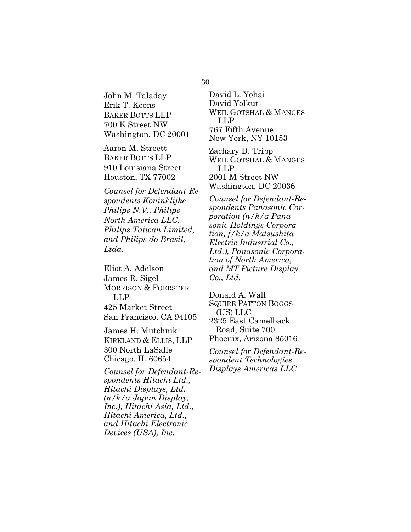30

John M. Taladay Erik T. Koons BAKER BOTTS LLP 700 K Street NW Washington, DC 20001

Aaron M. Streett BAKER BOTTS LLP 910 Louisiana Street Houston, TX 77002

*Counsel for Defendant-Respondents Koninklijke Philips N.V., Philips North America LLC, Philips Taiwan Limited, and Philips do Brasil, Ltda.*

Eliot A. Adelson James R. Sigel MORRISON & FOERSTER LLP 425 Market Street San Francisco, CA 94105

James H. Mutchnik KIRKLAND & ELLIS, LLP 300 North LaSalle Chicago, IL 60654

*Counsel for Defendant-Respondents Hitachi Ltd., Hitachi Displays, Ltd. (n/k/a Japan Display, Inc.), Hitachi Asia, Ltd., Hitachi America, Ltd., and Hitachi Electronic Devices (USA), Inc.*

David L. Yohai David Yolkut WEIL GOTSHAL & MANGES LLP 767 Fifth Avenue New York, NY 10153

Zachary D. Tripp WEIL GOTSHAL & MANGES LLP 2001 M Street NW Washington, DC 20036

*Counsel for Defendant-Respondents Panasonic Corporation (n/k/a Panasonic Holdings Corporation, f/k/a Matsushita Electric Industrial Co., Ltd.), Panasonic Corporation of North America, and MT Picture Display Co., Ltd.*

Donald A. Wall SQUIRE PATTON BOGGS (US) LLC 2325 East Camelback Road, Suite 700 Phoenix, Arizona 85016

*Counsel for Defendant-Respondent Technologies Displays Americas LLC*